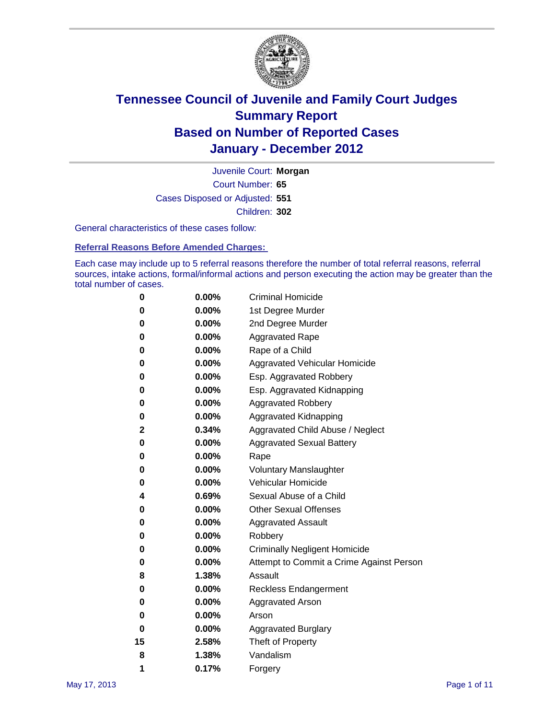

Court Number: **65** Juvenile Court: **Morgan** Cases Disposed or Adjusted: **551** Children: **302**

General characteristics of these cases follow:

**Referral Reasons Before Amended Charges:** 

Each case may include up to 5 referral reasons therefore the number of total referral reasons, referral sources, intake actions, formal/informal actions and person executing the action may be greater than the total number of cases.

| 0  | 0.00%    | <b>Criminal Homicide</b>                 |
|----|----------|------------------------------------------|
| 0  | 0.00%    | 1st Degree Murder                        |
| 0  | 0.00%    | 2nd Degree Murder                        |
| 0  | 0.00%    | <b>Aggravated Rape</b>                   |
| 0  | 0.00%    | Rape of a Child                          |
| 0  | 0.00%    | Aggravated Vehicular Homicide            |
| 0  | 0.00%    | Esp. Aggravated Robbery                  |
| 0  | 0.00%    | Esp. Aggravated Kidnapping               |
| 0  | 0.00%    | <b>Aggravated Robbery</b>                |
| 0  | 0.00%    | Aggravated Kidnapping                    |
| 2  | 0.34%    | Aggravated Child Abuse / Neglect         |
| 0  | 0.00%    | <b>Aggravated Sexual Battery</b>         |
| 0  | 0.00%    | Rape                                     |
| 0  | $0.00\%$ | <b>Voluntary Manslaughter</b>            |
| 0  | 0.00%    | Vehicular Homicide                       |
| 4  | 0.69%    | Sexual Abuse of a Child                  |
| 0  | 0.00%    | <b>Other Sexual Offenses</b>             |
| 0  | 0.00%    | <b>Aggravated Assault</b>                |
| 0  | $0.00\%$ | Robbery                                  |
| 0  | 0.00%    | <b>Criminally Negligent Homicide</b>     |
| 0  | 0.00%    | Attempt to Commit a Crime Against Person |
| 8  | 1.38%    | Assault                                  |
| 0  | 0.00%    | <b>Reckless Endangerment</b>             |
| 0  | 0.00%    | <b>Aggravated Arson</b>                  |
| 0  | 0.00%    | Arson                                    |
| 0  | 0.00%    | <b>Aggravated Burglary</b>               |
| 15 | 2.58%    | Theft of Property                        |
| 8  | 1.38%    | Vandalism                                |
| 1  | 0.17%    | Forgery                                  |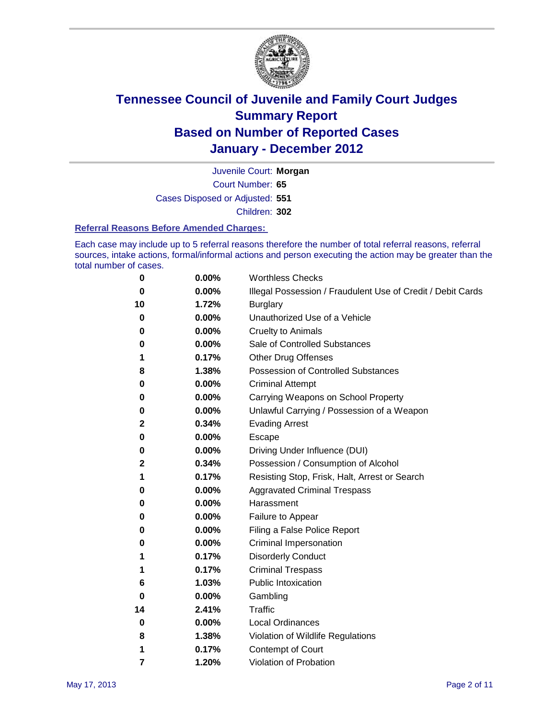

Court Number: **65** Juvenile Court: **Morgan** Cases Disposed or Adjusted: **551** Children: **302**

#### **Referral Reasons Before Amended Charges:**

Each case may include up to 5 referral reasons therefore the number of total referral reasons, referral sources, intake actions, formal/informal actions and person executing the action may be greater than the total number of cases.

| 0  | 0.00% | <b>Worthless Checks</b>                                     |
|----|-------|-------------------------------------------------------------|
| 0  | 0.00% | Illegal Possession / Fraudulent Use of Credit / Debit Cards |
| 10 | 1.72% | <b>Burglary</b>                                             |
| 0  | 0.00% | Unauthorized Use of a Vehicle                               |
| 0  | 0.00% | <b>Cruelty to Animals</b>                                   |
| 0  | 0.00% | Sale of Controlled Substances                               |
| 1  | 0.17% | <b>Other Drug Offenses</b>                                  |
| 8  | 1.38% | Possession of Controlled Substances                         |
| 0  | 0.00% | <b>Criminal Attempt</b>                                     |
| 0  | 0.00% | Carrying Weapons on School Property                         |
| 0  | 0.00% | Unlawful Carrying / Possession of a Weapon                  |
| 2  | 0.34% | <b>Evading Arrest</b>                                       |
| 0  | 0.00% | Escape                                                      |
| 0  | 0.00% | Driving Under Influence (DUI)                               |
| 2  | 0.34% | Possession / Consumption of Alcohol                         |
| 1  | 0.17% | Resisting Stop, Frisk, Halt, Arrest or Search               |
| 0  | 0.00% | <b>Aggravated Criminal Trespass</b>                         |
| 0  | 0.00% | Harassment                                                  |
| 0  | 0.00% | Failure to Appear                                           |
| 0  | 0.00% | Filing a False Police Report                                |
| 0  | 0.00% | Criminal Impersonation                                      |
| 1  | 0.17% | <b>Disorderly Conduct</b>                                   |
| 1  | 0.17% | <b>Criminal Trespass</b>                                    |
| 6  | 1.03% | <b>Public Intoxication</b>                                  |
| 0  | 0.00% | Gambling                                                    |
| 14 | 2.41% | Traffic                                                     |
| 0  | 0.00% | <b>Local Ordinances</b>                                     |
| 8  | 1.38% | Violation of Wildlife Regulations                           |
| 1  | 0.17% | Contempt of Court                                           |
| 7  | 1.20% | Violation of Probation                                      |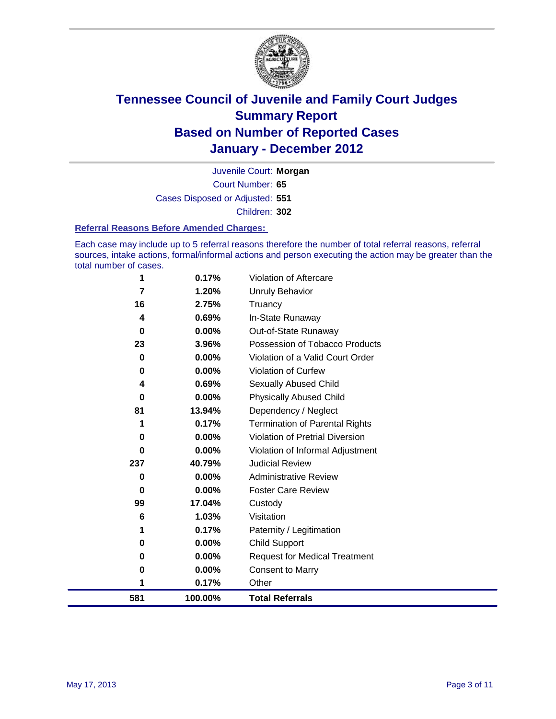

Court Number: **65** Juvenile Court: **Morgan** Cases Disposed or Adjusted: **551** Children: **302**

#### **Referral Reasons Before Amended Charges:**

Each case may include up to 5 referral reasons therefore the number of total referral reasons, referral sources, intake actions, formal/informal actions and person executing the action may be greater than the total number of cases.

| 1        | 0.17%    | Violation of Aftercare                 |
|----------|----------|----------------------------------------|
| 7        | 1.20%    | Unruly Behavior                        |
| 16       | 2.75%    | Truancy                                |
| 4        | 0.69%    | In-State Runaway                       |
| 0        | 0.00%    | Out-of-State Runaway                   |
| 23       | 3.96%    | Possession of Tobacco Products         |
| 0        | 0.00%    | Violation of a Valid Court Order       |
| $\bf{0}$ | 0.00%    | <b>Violation of Curfew</b>             |
| 4        | 0.69%    | <b>Sexually Abused Child</b>           |
| 0        | 0.00%    | <b>Physically Abused Child</b>         |
| 81       | 13.94%   | Dependency / Neglect                   |
|          | 0.17%    | Termination of Parental Rights         |
| 0        | 0.00%    | <b>Violation of Pretrial Diversion</b> |
| 0        | 0.00%    | Violation of Informal Adjustment       |
| 237      | 40.79%   | <b>Judicial Review</b>                 |
| 0        | 0.00%    | <b>Administrative Review</b>           |
| 0        | $0.00\%$ | <b>Foster Care Review</b>              |
| 99       | 17.04%   | Custody                                |
| 6        | 1.03%    | Visitation                             |
|          | 0.17%    | Paternity / Legitimation               |
| 0        | 0.00%    | <b>Child Support</b>                   |
| 0        | 0.00%    | <b>Request for Medical Treatment</b>   |
| 0        | 0.00%    | <b>Consent to Marry</b>                |
| 1        | 0.17%    | Other                                  |
| 581      | 100.00%  | <b>Total Referrals</b>                 |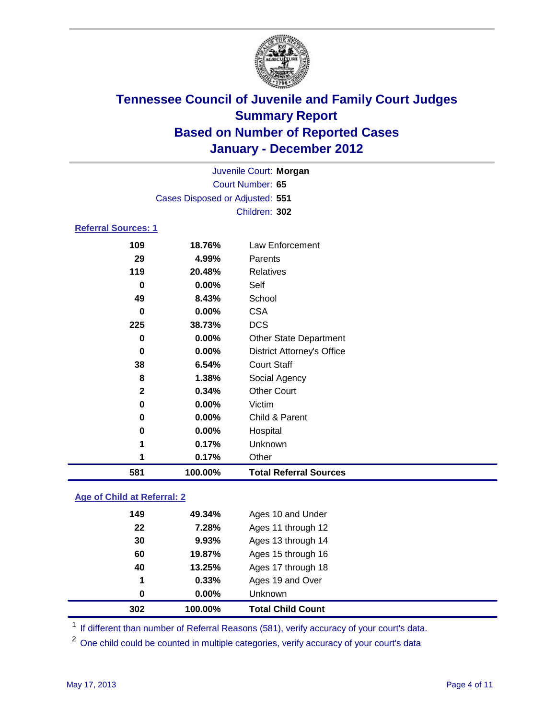

| Juvenile Court: Morgan     |                                 |                                   |  |  |  |
|----------------------------|---------------------------------|-----------------------------------|--|--|--|
| Court Number: 65           |                                 |                                   |  |  |  |
|                            | Cases Disposed or Adjusted: 551 |                                   |  |  |  |
|                            | Children: 302                   |                                   |  |  |  |
| <b>Referral Sources: 1</b> |                                 |                                   |  |  |  |
| 109                        | 18.76%                          | Law Enforcement                   |  |  |  |
| 29                         | 4.99%                           | Parents                           |  |  |  |
| 119                        | 20.48%                          | Relatives                         |  |  |  |
| 0                          | 0.00%                           | Self                              |  |  |  |
| 49                         | 8.43%                           | School                            |  |  |  |
| 0                          | 0.00%                           | <b>CSA</b>                        |  |  |  |
| 225                        | 38.73%                          | <b>DCS</b>                        |  |  |  |
| 0                          | 0.00%                           | <b>Other State Department</b>     |  |  |  |
| $\bf{0}$                   | 0.00%                           | <b>District Attorney's Office</b> |  |  |  |
| 38                         | 6.54%                           | <b>Court Staff</b>                |  |  |  |
| 8                          | 1.38%                           | Social Agency                     |  |  |  |
| $\mathbf{2}$               | 0.34%                           | <b>Other Court</b>                |  |  |  |
| 0                          | 0.00%                           | Victim                            |  |  |  |
| 0                          | 0.00%                           | Child & Parent                    |  |  |  |
| $\bf{0}$                   | 0.00%                           | Hospital                          |  |  |  |
| 1                          | 0.17%                           | Unknown                           |  |  |  |
| 1                          | 0.17%                           | Other                             |  |  |  |
| 581                        | 100.00%                         | <b>Total Referral Sources</b>     |  |  |  |

### **Age of Child at Referral: 2**

| 1<br>0 | 0.33%<br>$0.00\%$ | Ages 19 and Over<br>Unknown |
|--------|-------------------|-----------------------------|
|        |                   |                             |
|        |                   |                             |
|        | 13.25%            | Ages 17 through 18          |
| 60     | 19.87%            | Ages 15 through 16          |
| 30     | 9.93%             | Ages 13 through 14          |
| 22     | 7.28%             | Ages 11 through 12          |
| 149    | 49.34%            | Ages 10 and Under           |
|        | 40                |                             |

<sup>1</sup> If different than number of Referral Reasons (581), verify accuracy of your court's data.

<sup>2</sup> One child could be counted in multiple categories, verify accuracy of your court's data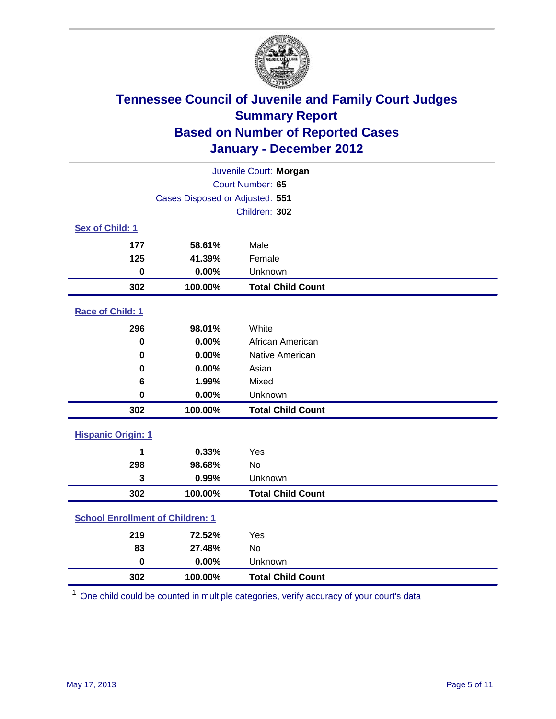

| Juvenile Court: Morgan                  |                                 |                          |  |  |
|-----------------------------------------|---------------------------------|--------------------------|--|--|
| Court Number: 65                        |                                 |                          |  |  |
|                                         | Cases Disposed or Adjusted: 551 |                          |  |  |
|                                         |                                 | Children: 302            |  |  |
| Sex of Child: 1                         |                                 |                          |  |  |
| 177                                     | 58.61%                          | Male                     |  |  |
| 125                                     | 41.39%                          | Female                   |  |  |
| $\mathbf 0$                             | 0.00%                           | Unknown                  |  |  |
| 302                                     | 100.00%                         | <b>Total Child Count</b> |  |  |
| Race of Child: 1                        |                                 |                          |  |  |
| 296                                     | 98.01%                          | White                    |  |  |
| $\pmb{0}$                               | 0.00%                           | African American         |  |  |
| $\mathbf 0$                             | 0.00%                           | Native American          |  |  |
| 0                                       | 0.00%                           | Asian                    |  |  |
| 6                                       | 1.99%                           | Mixed                    |  |  |
| $\mathbf 0$                             | 0.00%                           | Unknown                  |  |  |
| 302                                     | 100.00%                         | <b>Total Child Count</b> |  |  |
| <b>Hispanic Origin: 1</b>               |                                 |                          |  |  |
| 1                                       | 0.33%                           | Yes                      |  |  |
| 298                                     | 98.68%                          | No                       |  |  |
| 3                                       | 0.99%                           | Unknown                  |  |  |
| 302                                     | 100.00%                         | <b>Total Child Count</b> |  |  |
| <b>School Enrollment of Children: 1</b> |                                 |                          |  |  |
| 219                                     | 72.52%                          | Yes                      |  |  |
| 83                                      | 27.48%                          | <b>No</b>                |  |  |
| $\mathbf 0$                             | 0.00%                           | Unknown                  |  |  |
| 302                                     | 100.00%                         | <b>Total Child Count</b> |  |  |

One child could be counted in multiple categories, verify accuracy of your court's data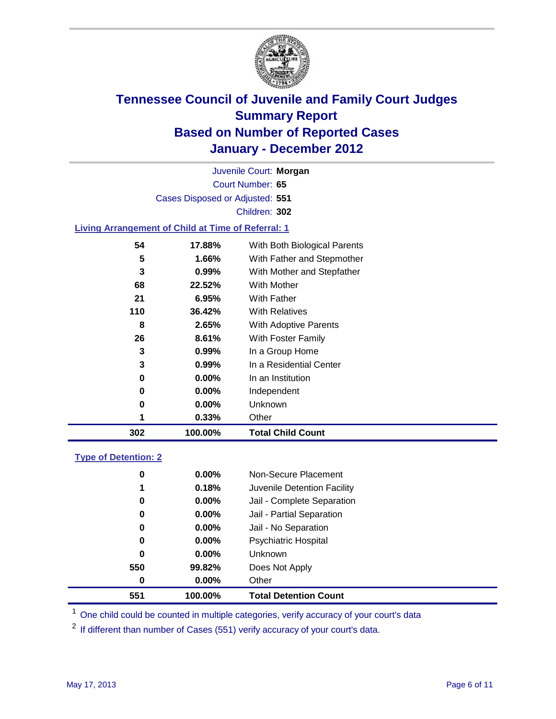

Court Number: **65** Juvenile Court: **Morgan** Cases Disposed or Adjusted: **551** Children: **302**

### **Living Arrangement of Child at Time of Referral: 1**

| 302 | 100.00%  | <b>Total Child Count</b>     |
|-----|----------|------------------------------|
|     | 0.33%    | Other                        |
| 0   | 0.00%    | Unknown                      |
| 0   | $0.00\%$ | Independent                  |
| 0   | 0.00%    | In an Institution            |
| 3   | $0.99\%$ | In a Residential Center      |
| 3   | 0.99%    | In a Group Home              |
| 26  | 8.61%    | With Foster Family           |
| 8   | 2.65%    | With Adoptive Parents        |
| 110 | 36.42%   | <b>With Relatives</b>        |
| 21  | 6.95%    | With Father                  |
| 68  | 22.52%   | <b>With Mother</b>           |
| 3   | 0.99%    | With Mother and Stepfather   |
| 5   | 1.66%    | With Father and Stepmother   |
| 54  | 17.88%   | With Both Biological Parents |
|     |          |                              |

#### **Type of Detention: 2**

| 551      | 100.00%  | <b>Total Detention Count</b> |  |
|----------|----------|------------------------------|--|
| 0        | $0.00\%$ | Other                        |  |
| 550      | 99.82%   | Does Not Apply               |  |
| $\bf{0}$ | $0.00\%$ | <b>Unknown</b>               |  |
| 0        | 0.00%    | <b>Psychiatric Hospital</b>  |  |
| 0        | 0.00%    | Jail - No Separation         |  |
| 0        | $0.00\%$ | Jail - Partial Separation    |  |
| 0        | $0.00\%$ | Jail - Complete Separation   |  |
| 1        | 0.18%    | Juvenile Detention Facility  |  |
| 0        | $0.00\%$ | Non-Secure Placement         |  |
|          |          |                              |  |

<sup>1</sup> One child could be counted in multiple categories, verify accuracy of your court's data

<sup>2</sup> If different than number of Cases (551) verify accuracy of your court's data.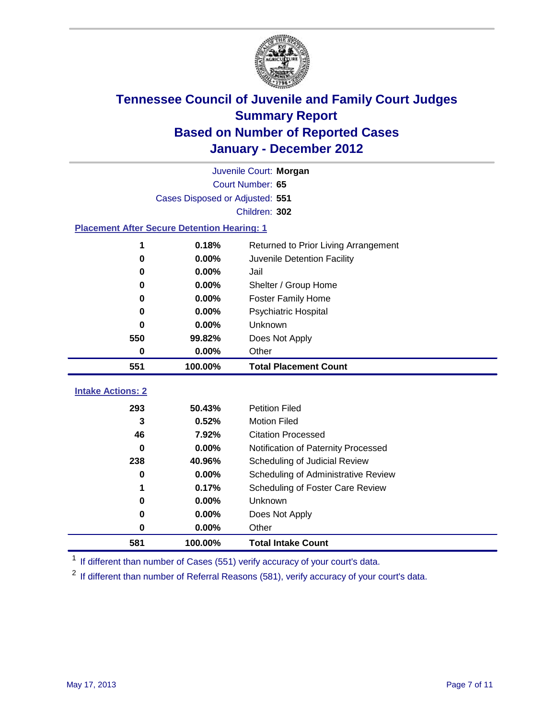

|                                                    | Juvenile Court: Morgan          |                                      |  |  |  |  |
|----------------------------------------------------|---------------------------------|--------------------------------------|--|--|--|--|
|                                                    | Court Number: 65                |                                      |  |  |  |  |
|                                                    | Cases Disposed or Adjusted: 551 |                                      |  |  |  |  |
|                                                    | Children: 302                   |                                      |  |  |  |  |
| <b>Placement After Secure Detention Hearing: 1</b> |                                 |                                      |  |  |  |  |
|                                                    | 0.18%                           | Returned to Prior Living Arrangement |  |  |  |  |
| $\bf{0}$                                           | 0.00%                           | Juvenile Detention Facility          |  |  |  |  |
| 0                                                  | 0.00%                           | Jail                                 |  |  |  |  |
| 0                                                  | 0.00%                           | Shelter / Group Home                 |  |  |  |  |
| $\bf{0}$                                           | 0.00%                           | Foster Family Home                   |  |  |  |  |
| 0                                                  | 0.00%                           | Psychiatric Hospital                 |  |  |  |  |
| 0                                                  | 0.00%                           | Unknown                              |  |  |  |  |
| 550                                                | 99.82%                          | Does Not Apply                       |  |  |  |  |
| $\mathbf 0$                                        | 0.00%                           | Other                                |  |  |  |  |
| 551                                                | 100.00%                         | <b>Total Placement Count</b>         |  |  |  |  |
| <b>Intake Actions: 2</b>                           |                                 |                                      |  |  |  |  |
|                                                    |                                 |                                      |  |  |  |  |
| 293                                                | 50.43%                          | <b>Petition Filed</b>                |  |  |  |  |
| 3                                                  | 0.52%                           | <b>Motion Filed</b>                  |  |  |  |  |
| 46                                                 | 7.92%                           | <b>Citation Processed</b>            |  |  |  |  |
| 0                                                  | 0.00%                           | Notification of Paternity Processed  |  |  |  |  |
| 238                                                | 40.96%                          | Scheduling of Judicial Review        |  |  |  |  |
| 0                                                  | 0.00%                           | Scheduling of Administrative Review  |  |  |  |  |
|                                                    | 0.17%                           | Scheduling of Foster Care Review     |  |  |  |  |
| 0                                                  | 0.00%                           | <b>Unknown</b>                       |  |  |  |  |
| 0                                                  | 0.00%                           | Does Not Apply                       |  |  |  |  |
| 0                                                  | 0.00%                           | Other                                |  |  |  |  |
| 581                                                | 100.00%                         | <b>Total Intake Count</b>            |  |  |  |  |

<sup>1</sup> If different than number of Cases (551) verify accuracy of your court's data.

<sup>2</sup> If different than number of Referral Reasons (581), verify accuracy of your court's data.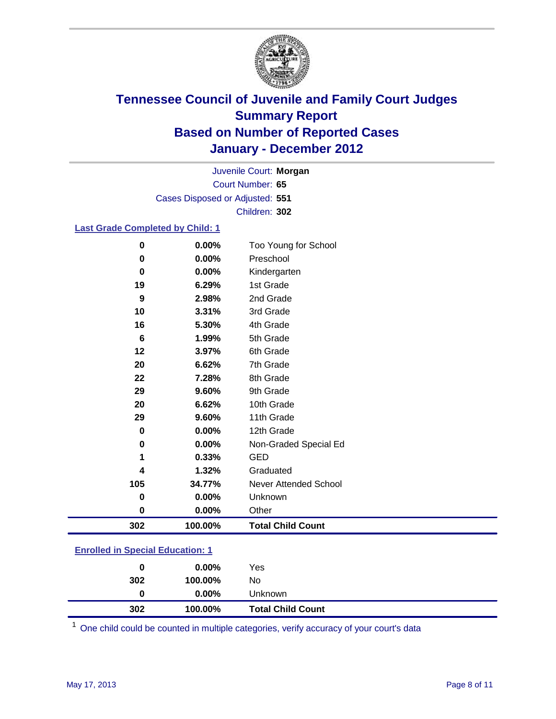

Court Number: **65** Juvenile Court: **Morgan** Cases Disposed or Adjusted: **551** Children: **302**

### **Last Grade Completed by Child: 1**

| 302 | 100.00% | <b>Total Child Count</b> |
|-----|---------|--------------------------|
| 0   | 0.00%   | Other                    |
| 0   | 0.00%   | Unknown                  |
| 105 | 34.77%  | Never Attended School    |
| 4   | 1.32%   | Graduated                |
| 1   | 0.33%   | <b>GED</b>               |
| 0   | 0.00%   | Non-Graded Special Ed    |
| 0   | 0.00%   | 12th Grade               |
| 29  | 9.60%   | 11th Grade               |
| 20  | 6.62%   | 10th Grade               |
| 29  | 9.60%   | 9th Grade                |
| 22  | 7.28%   | 8th Grade                |
| 20  | 6.62%   | 7th Grade                |
| 12  | 3.97%   | 6th Grade                |
| 6   | 1.99%   | 5th Grade                |
| 16  | 5.30%   | 4th Grade                |
| 10  | 3.31%   | 3rd Grade                |
| 9   | 2.98%   | 2nd Grade                |
| 19  | 6.29%   | 1st Grade                |
| 0   | 0.00%   | Kindergarten             |
| 0   | 0.00%   | Preschool                |
| 0   | 0.00%   | Too Young for School     |

### **Enrolled in Special Education: 1**

| Unknown | $0.00\%$ | 0   |
|---------|----------|-----|
| No      | 100.00%  | 302 |
| Yes     | $0.00\%$ | 0   |
|         |          |     |

One child could be counted in multiple categories, verify accuracy of your court's data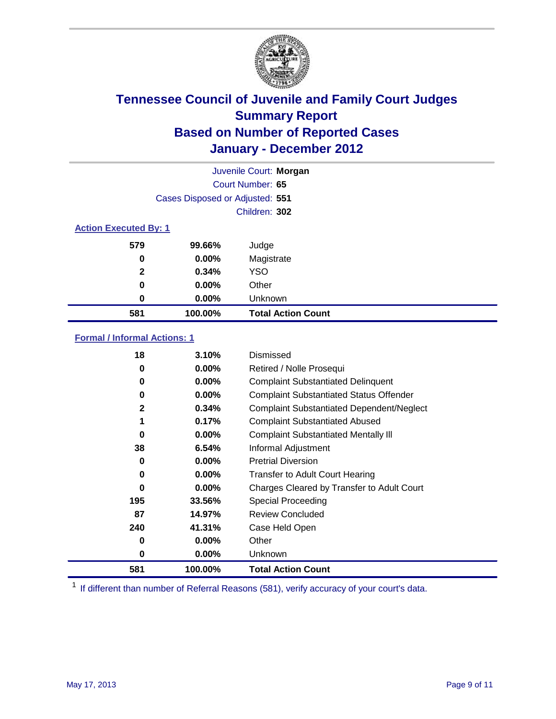

|                              |                                 | Juvenile Court: Morgan    |
|------------------------------|---------------------------------|---------------------------|
|                              |                                 | Court Number: 65          |
|                              | Cases Disposed or Adjusted: 551 |                           |
|                              |                                 | Children: 302             |
| <b>Action Executed By: 1</b> |                                 |                           |
| 579                          | 99.66%                          | Judge                     |
| 0                            | $0.00\%$                        | Magistrate                |
| $\mathbf{2}$                 | 0.34%                           | <b>YSO</b>                |
| 0                            | $0.00\%$                        | Other                     |
| 0                            | 0.00%                           | Unknown                   |
| 581                          | 100.00%                         | <b>Total Action Count</b> |

### **Formal / Informal Actions: 1**

| 18  | 3.10%    | Dismissed                                        |
|-----|----------|--------------------------------------------------|
| 0   | $0.00\%$ | Retired / Nolle Prosequi                         |
| 0   | $0.00\%$ | <b>Complaint Substantiated Delinquent</b>        |
| 0   | $0.00\%$ | <b>Complaint Substantiated Status Offender</b>   |
| 2   | 0.34%    | <b>Complaint Substantiated Dependent/Neglect</b> |
| 1   | 0.17%    | <b>Complaint Substantiated Abused</b>            |
| 0   | $0.00\%$ | <b>Complaint Substantiated Mentally III</b>      |
| 38  | 6.54%    | Informal Adjustment                              |
| 0   | $0.00\%$ | <b>Pretrial Diversion</b>                        |
| 0   | $0.00\%$ | <b>Transfer to Adult Court Hearing</b>           |
| 0   | $0.00\%$ | Charges Cleared by Transfer to Adult Court       |
| 195 | 33.56%   | Special Proceeding                               |
| 87  | 14.97%   | <b>Review Concluded</b>                          |
| 240 | 41.31%   | Case Held Open                                   |
| 0   | $0.00\%$ | Other                                            |
| 0   | $0.00\%$ | Unknown                                          |
| 581 | 100.00%  | <b>Total Action Count</b>                        |

<sup>1</sup> If different than number of Referral Reasons (581), verify accuracy of your court's data.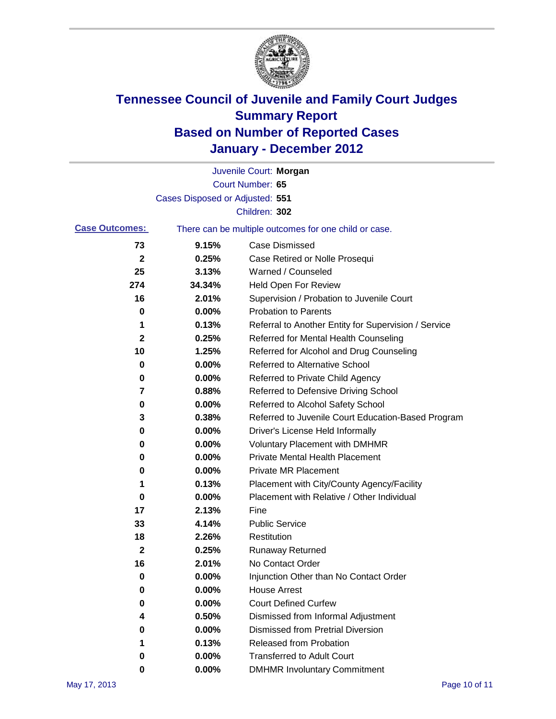

|                       |                                 | Juvenile Court: Morgan                                |
|-----------------------|---------------------------------|-------------------------------------------------------|
|                       |                                 | Court Number: 65                                      |
|                       | Cases Disposed or Adjusted: 551 |                                                       |
|                       |                                 | Children: 302                                         |
| <b>Case Outcomes:</b> |                                 | There can be multiple outcomes for one child or case. |
| 73                    | 9.15%                           | <b>Case Dismissed</b>                                 |
| $\boldsymbol{2}$      | 0.25%                           | Case Retired or Nolle Prosequi                        |
| 25                    | 3.13%                           | Warned / Counseled                                    |
| 274                   | 34.34%                          | <b>Held Open For Review</b>                           |
| 16                    | 2.01%                           | Supervision / Probation to Juvenile Court             |
| 0                     | 0.00%                           | <b>Probation to Parents</b>                           |
| 1                     | 0.13%                           | Referral to Another Entity for Supervision / Service  |
| 2                     | 0.25%                           | Referred for Mental Health Counseling                 |
| 10                    | 1.25%                           | Referred for Alcohol and Drug Counseling              |
| 0                     | 0.00%                           | <b>Referred to Alternative School</b>                 |
| 0                     | 0.00%                           | Referred to Private Child Agency                      |
| 7                     | 0.88%                           | Referred to Defensive Driving School                  |
| 0                     | 0.00%                           | Referred to Alcohol Safety School                     |
| 3                     | 0.38%                           | Referred to Juvenile Court Education-Based Program    |
| 0                     | 0.00%                           | Driver's License Held Informally                      |
| 0                     | 0.00%                           | <b>Voluntary Placement with DMHMR</b>                 |
| 0                     | 0.00%                           | <b>Private Mental Health Placement</b>                |
| 0                     | 0.00%                           | <b>Private MR Placement</b>                           |
| 1                     | 0.13%                           | Placement with City/County Agency/Facility            |
| 0                     | 0.00%                           | Placement with Relative / Other Individual            |
| 17                    | 2.13%                           | Fine                                                  |
| 33                    | 4.14%                           | <b>Public Service</b>                                 |
| 18                    | 2.26%                           | Restitution                                           |
| 2                     | 0.25%                           | <b>Runaway Returned</b>                               |
| 16                    | 2.01%                           | No Contact Order                                      |
| 0                     | 0.00%                           | Injunction Other than No Contact Order                |
| 0                     | 0.00%                           | <b>House Arrest</b>                                   |
| 0                     | 0.00%                           | <b>Court Defined Curfew</b>                           |
| 4                     | 0.50%                           | Dismissed from Informal Adjustment                    |
| 0                     | 0.00%                           | <b>Dismissed from Pretrial Diversion</b>              |
| 1                     | 0.13%                           | <b>Released from Probation</b>                        |
| 0                     | 0.00%                           | <b>Transferred to Adult Court</b>                     |
| 0                     | $0.00\%$                        | <b>DMHMR Involuntary Commitment</b>                   |